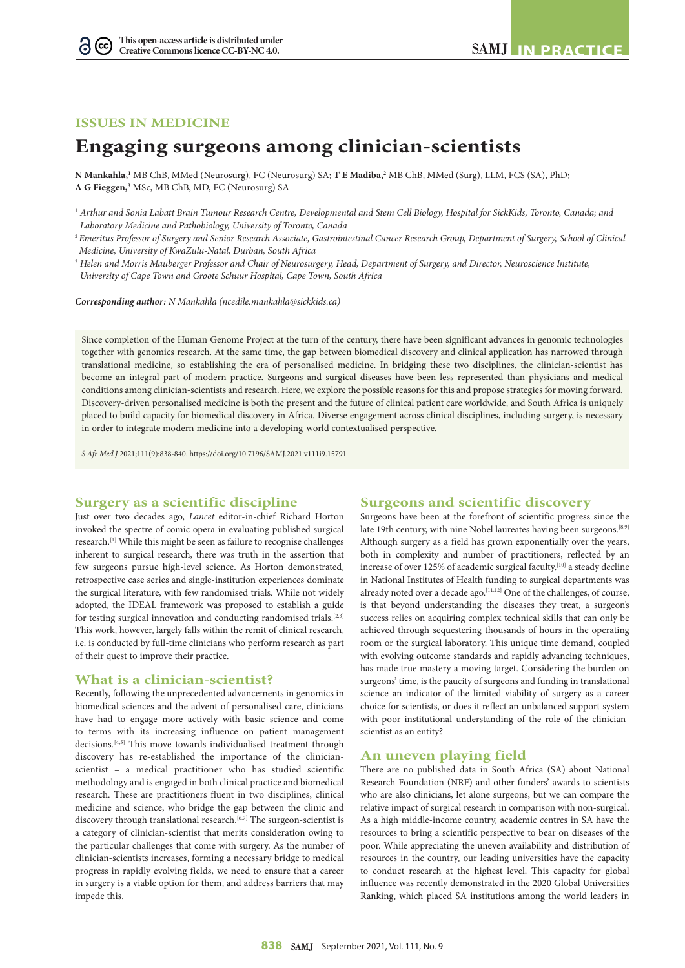## **ISSUES IN MEDICINE**

 $(cc)$ G

# **Engaging surgeons among clinician-scientists**

**N Mankahla,1** MB ChB, MMed (Neurosurg), FC (Neurosurg) SA; **T E Madiba,2** MB ChB, MMed (Surg), LLM, FCS (SA), PhD; **A G Fieggen,3** MSc, MB ChB, MD, FC (Neurosurg) SA

<sup>2</sup>*Emeritus Professor of Surgery and Senior Research Associate, Gastrointestinal Cancer Research Group, Department of Surgery, School of Clinical Medicine, University of KwaZulu-Natal, Durban, South Africa*

<sup>3</sup> *Helen and Morris Mauberger Professor and Chair of Neurosurgery, Head, Department of Surgery, and Director, Neuroscience Institute, University of Cape Town and Groote Schuur Hospital, Cape Town, South Africa*

*Corresponding author: N Mankahla [\(ncedile.mankahla@sickkids.ca](mailto:ncedile.mankahla@sickkids.ca))*

Since completion of the Human Genome Project at the turn of the century, there have been significant advances in genomic technologies together with genomics research. At the same time, the gap between biomedical discovery and clinical application has narrowed through translational medicine, so establishing the era of personalised medicine. In bridging these two disciplines, the clinician-scientist has become an integral part of modern practice. Surgeons and surgical diseases have been less represented than physicians and medical conditions among clinician-scientists and research. Here, we explore the possible reasons for this and propose strategies for moving forward. Discovery-driven personalised medicine is both the present and the future of clinical patient care worldwide, and South Africa is uniquely placed to build capacity for biomedical discovery in Africa. Diverse engagement across clinical disciplines, including surgery, is necessary in order to integrate modern medicine into a developing-world contextualised perspective.

*S Afr Med J* 2021;111(9):838-840. <https://doi.org/10.7196/SAMJ.2021.v111i9.15791>

## **Surgery as a scientific discipline**

## **Surgeons and scientific discovery**

Just over two decades ago, *Lancet* editor-in-chief Richard Horton invoked the spectre of comic opera in evaluating published surgical research.[1] While this might be seen as failure to recognise challenges inherent to surgical research, there was truth in the assertion that few surgeons pursue high-level science. As Horton demonstrated, retrospective case series and single-institution experiences dominate the surgical literature, with few randomised trials. While not widely adopted, the IDEAL framework was proposed to establish a guide for testing surgical innovation and conducting randomised trials.[2,3] This work, however, largely falls within the remit of clinical research, i.e. is conducted by full-time clinicians who perform research as part of their quest to improve their practice.

## **What is a clinician-scientist?**

Recently, following the unprecedented advancements in genomics in biomedical sciences and the advent of personalised care, clinicians have had to engage more actively with basic science and come to terms with its increasing influence on patient management decisions.<sup>[4,5]</sup> This move towards individualised treatment through discovery has re-established the importance of the clinicianscientist – a medical practitioner who has studied scientific methodology and is engaged in both clinical practice and biomedical research. These are practitioners fluent in two disciplines, clinical medicine and science, who bridge the gap between the clinic and discovery through translational research.<sup>[6,7]</sup> The surgeon-scientist is a category of clinician-scientist that merits consideration owing to the particular challenges that come with surgery. As the number of clinician-scientists increases, forming a necessary bridge to medical progress in rapidly evolving fields, we need to ensure that a career in surgery is a viable option for them, and address barriers that may impede this.

Surgeons have been at the forefront of scientific progress since the late 19th century, with nine Nobel laureates having been surgeons.<sup>[8,9]</sup> Although surgery as a field has grown exponentially over the years, both in complexity and number of practitioners, reflected by an increase of over 125% of academic surgical faculty,<sup>[10]</sup> a steady decline in National Institutes of Health funding to surgical departments was already noted over a decade ago.<sup>[11,12]</sup> One of the challenges, of course, is that beyond understanding the diseases they treat, a surgeon's success relies on acquiring complex technical skills that can only be achieved through sequestering thousands of hours in the operating room or the surgical laboratory. This unique time demand, coupled with evolving outcome standards and rapidly advancing techniques, has made true mastery a moving target. Considering the burden on surgeons' time, is the paucity of surgeons and funding in translational science an indicator of the limited viability of surgery as a career choice for scientists, or does it reflect an unbalanced support system with poor institutional understanding of the role of the clinicianscientist as an entity?

## **An uneven playing field**

There are no published data in South Africa (SA) about National Research Foundation (NRF) and other funders' awards to scientists who are also clinicians, let alone surgeons, but we can compare the relative impact of surgical research in comparison with non-surgical. As a high middle-income country, academic centres in SA have the resources to bring a scientific perspective to bear on diseases of the poor. While appreciating the uneven availability and distribution of resources in the country, our leading universities have the capacity to conduct research at the highest level. This capacity for global influence was recently demonstrated in the 2020 Global Universities Ranking, which placed SA institutions among the world leaders in

<sup>&</sup>lt;sup>1</sup> Arthur and Sonia Labatt Brain Tumour Research Centre, Developmental and Stem Cell Biology, Hospital for SickKids, Toronto, Canada; and *Laboratory Medicine and Pathobiology, University of Toronto, Canada*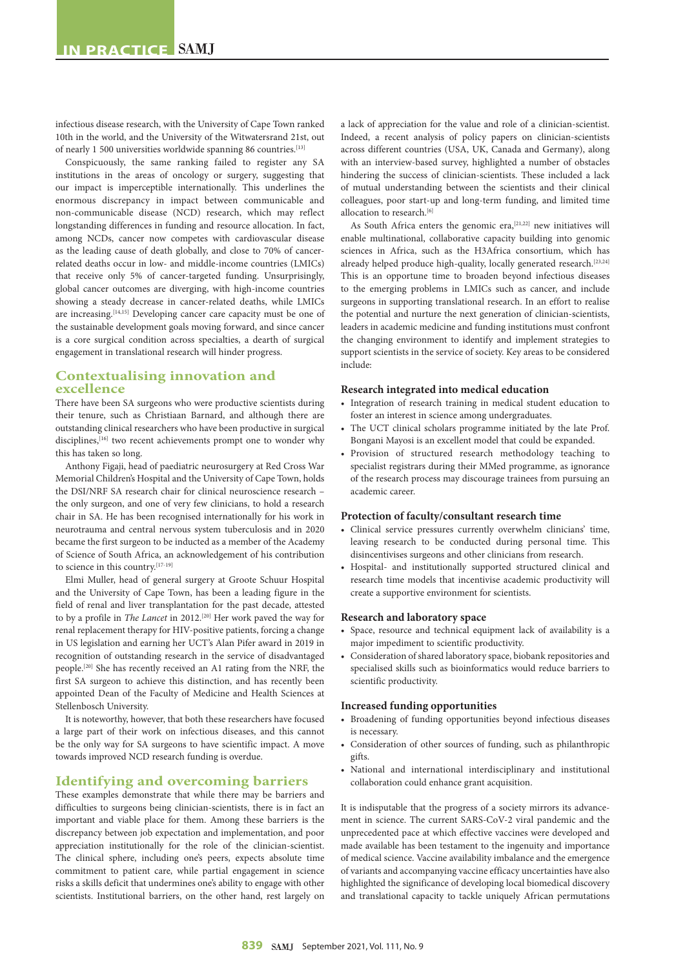infectious disease research, with the University of Cape Town ranked 10th in the world, and the University of the Witwatersrand 21st, out of nearly 1 500 universities worldwide spanning 86 countries.[13]

Conspicuously, the same ranking failed to register any SA institutions in the areas of oncology or surgery, suggesting that our impact is imperceptible internationally. This underlines the enormous discrepancy in impact between communicable and non-communicable disease (NCD) research, which may reflect longstanding differences in funding and resource allocation. In fact, among NCDs, cancer now competes with cardiovascular disease as the leading cause of death globally, and close to 70% of cancerrelated deaths occur in low- and middle-income countries (LMICs) that receive only 5% of cancer-targeted funding. Unsurprisingly, global cancer outcomes are diverging, with high-income countries showing a steady decrease in cancer-related deaths, while LMICs are increasing.<sup>[14,15]</sup> Developing cancer care capacity must be one of the sustainable development goals moving forward, and since cancer is a core surgical condition across specialties, a dearth of surgical engagement in translational research will hinder progress.

## **Contextualising innovation and excellence**

There have been SA surgeons who were productive scientists during their tenure, such as Christiaan Barnard, and although there are outstanding clinical researchers who have been productive in surgical disciplines,<sup>[16]</sup> two recent achievements prompt one to wonder why this has taken so long.

Anthony Figaji, head of paediatric neurosurgery at Red Cross War Memorial Children's Hospital and the University of Cape Town, holds the DSI/NRF SA research chair for clinical neuroscience research – the only surgeon, and one of very few clinicians, to hold a research chair in SA. He has been recognised internationally for his work in neurotrauma and central nervous system tuberculosis and in 2020 became the first surgeon to be inducted as a member of the Academy of Science of South Africa, an acknowledgement of his contribution to science in this country.<sup>[17-19]</sup>

Elmi Muller, head of general surgery at Groote Schuur Hospital and the University of Cape Town, has been a leading figure in the field of renal and liver transplantation for the past decade, attested to by a profile in *The Lancet* in 2012.[20] Her work paved the way for renal replacement therapy for HIV-positive patients, forcing a change in US legislation and earning her UCT's Alan Pifer award in 2019 in recognition of outstanding research in the service of disadvantaged people.[20] She has recently received an A1 rating from the NRF, the first SA surgeon to achieve this distinction, and has recently been appointed Dean of the Faculty of Medicine and Health Sciences at Stellenbosch University.

It is noteworthy, however, that both these researchers have focused a large part of their work on infectious diseases, and this cannot be the only way for SA surgeons to have scientific impact. A move towards improved NCD research funding is overdue.

## **Identifying and overcoming barriers**

These examples demonstrate that while there may be barriers and difficulties to surgeons being clinician-scientists, there is in fact an important and viable place for them. Among these barriers is the discrepancy between job expectation and implementation, and poor appreciation institutionally for the role of the clinician-scientist. The clinical sphere, including one's peers, expects absolute time commitment to patient care, while partial engagement in science risks a skills deficit that undermines one's ability to engage with other scientists. Institutional barriers, on the other hand, rest largely on

a lack of appreciation for the value and role of a clinician-scientist. Indeed, a recent analysis of policy papers on clinician-scientists across different countries (USA, UK, Canada and Germany), along with an interview-based survey, highlighted a number of obstacles hindering the success of clinician-scientists. These included a lack of mutual understanding between the scientists and their clinical colleagues, poor start-up and long-term funding, and limited time allocation to research.<sup>[6]</sup>

As South Africa enters the genomic era,<sup>[21,22]</sup> new initiatives will enable multinational, collaborative capacity building into genomic sciences in Africa, such as the H3Africa consortium, which has already helped produce high-quality, locally generated research.<sup>[23,24]</sup> This is an opportune time to broaden beyond infectious diseases to the emerging problems in LMICs such as cancer, and include surgeons in supporting translational research. In an effort to realise the potential and nurture the next generation of clinician-scientists, leaders in academic medicine and funding institutions must confront the changing environment to identify and implement strategies to support scientists in the service of society. Key areas to be considered include:

#### **Research integrated into medical education**

- Integration of research training in medical student education to foster an interest in science among undergraduates.
- The UCT clinical scholars programme initiated by the late Prof. Bongani Mayosi is an excellent model that could be expanded.
- Provision of structured research methodology teaching to specialist registrars during their MMed programme, as ignorance of the research process may discourage trainees from pursuing an academic career.

#### **Protection of faculty/consultant research time**

- Clinical service pressures currently overwhelm clinicians' time, leaving research to be conducted during personal time. This disincentivises surgeons and other clinicians from research.
- Hospital- and institutionally supported structured clinical and research time models that incentivise academic productivity will create a supportive environment for scientists.

#### **Research and laboratory space**

- Space, resource and technical equipment lack of availability is a major impediment to scientific productivity.
- Consideration of shared laboratory space, biobank repositories and specialised skills such as bioinformatics would reduce barriers to scientific productivity.

#### **Increased funding opportunities**

- Broadening of funding opportunities beyond infectious diseases is necessary.
- Consideration of other sources of funding, such as philanthropic gifts.
- National and international interdisciplinary and institutional collaboration could enhance grant acquisition.

It is indisputable that the progress of a society mirrors its advancement in science. The current SARS-CoV-2 viral pandemic and the unprecedented pace at which effective vaccines were developed and made available has been testament to the ingenuity and importance of medical science. Vaccine availability imbalance and the emergence of variants and accompanying vaccine efficacy uncertainties have also highlighted the significance of developing local biomedical discovery and translational capacity to tackle uniquely African permutations